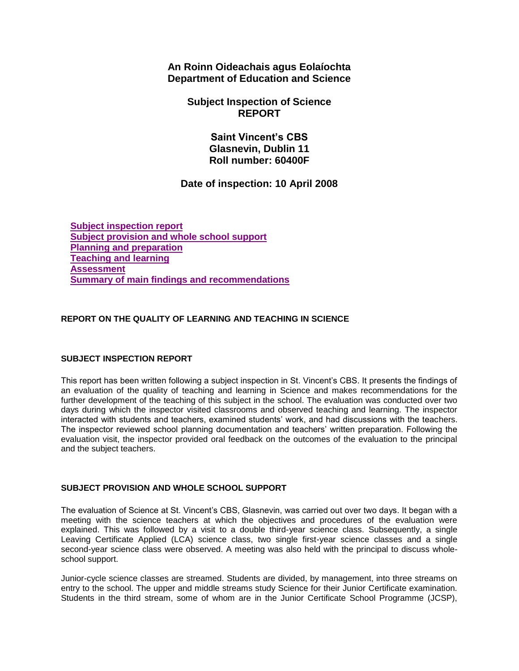**An Roinn Oideachais agus Eolaíochta Department of Education and Science**

> **Subject Inspection of Science REPORT**

> > **Saint Vincent's CBS Glasnevin, Dublin 11 Roll number: 60400F**

# **Date of inspection: 10 April 2008**

**[Subject inspection report](http://www.education.ie/en/Publications/Inspection-Reports-Publications/Subject-Inspection-Reports-List/report4_60400F.htm#_Toc214182715) [Subject provision and whole school support](http://www.education.ie/en/Publications/Inspection-Reports-Publications/Subject-Inspection-Reports-List/report4_60400F.htm#_Toc214182716) [Planning and preparation](http://www.education.ie/en/Publications/Inspection-Reports-Publications/Subject-Inspection-Reports-List/report4_60400F.htm#_Toc214182717) [Teaching and learning](http://www.education.ie/en/Publications/Inspection-Reports-Publications/Subject-Inspection-Reports-List/report4_60400F.htm#_Toc214182718) [Assessment](http://www.education.ie/en/Publications/Inspection-Reports-Publications/Subject-Inspection-Reports-List/report4_60400F.htm#_Toc214182719) [Summary of main findings and recommendations](http://www.education.ie/en/Publications/Inspection-Reports-Publications/Subject-Inspection-Reports-List/report4_60400F.htm#_Toc214182720)**

## **REPORT ON THE QUALITY OF LEARNING AND TEACHING IN SCIENCE**

### **SUBJECT INSPECTION REPORT**

This report has been written following a subject inspection in St. Vincent's CBS. It presents the findings of an evaluation of the quality of teaching and learning in Science and makes recommendations for the further development of the teaching of this subject in the school. The evaluation was conducted over two days during which the inspector visited classrooms and observed teaching and learning. The inspector interacted with students and teachers, examined students' work, and had discussions with the teachers. The inspector reviewed school planning documentation and teachers' written preparation. Following the evaluation visit, the inspector provided oral feedback on the outcomes of the evaluation to the principal and the subject teachers.

#### **SUBJECT PROVISION AND WHOLE SCHOOL SUPPORT**

The evaluation of Science at St. Vincent's CBS, Glasnevin, was carried out over two days. It began with a meeting with the science teachers at which the objectives and procedures of the evaluation were explained. This was followed by a visit to a double third-year science class. Subsequently, a single Leaving Certificate Applied (LCA) science class, two single first-year science classes and a single second-year science class were observed. A meeting was also held with the principal to discuss wholeschool support.

Junior-cycle science classes are streamed. Students are divided, by management, into three streams on entry to the school. The upper and middle streams study Science for their Junior Certificate examination. Students in the third stream, some of whom are in the Junior Certificate School Programme (JCSP),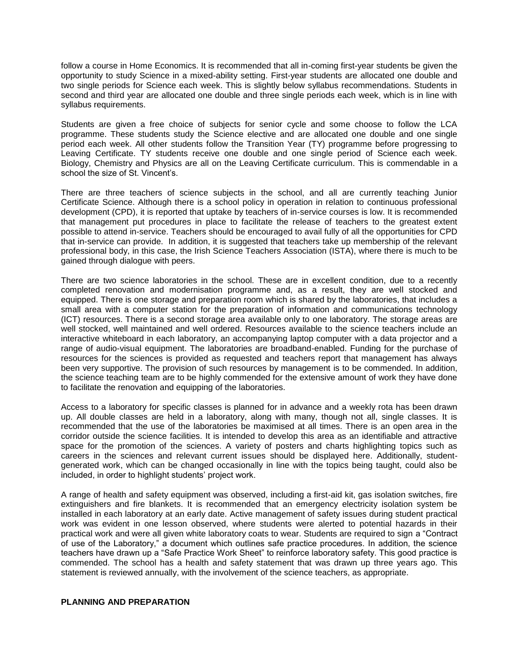follow a course in Home Economics. It is recommended that all in-coming first-year students be given the opportunity to study Science in a mixed-ability setting. First-year students are allocated one double and two single periods for Science each week. This is slightly below syllabus recommendations. Students in second and third year are allocated one double and three single periods each week, which is in line with syllabus requirements.

Students are given a free choice of subjects for senior cycle and some choose to follow the LCA programme. These students study the Science elective and are allocated one double and one single period each week. All other students follow the Transition Year (TY) programme before progressing to Leaving Certificate. TY students receive one double and one single period of Science each week. Biology, Chemistry and Physics are all on the Leaving Certificate curriculum. This is commendable in a school the size of St. Vincent's.

There are three teachers of science subjects in the school, and all are currently teaching Junior Certificate Science. Although there is a school policy in operation in relation to continuous professional development (CPD), it is reported that uptake by teachers of in-service courses is low. It is recommended that management put procedures in place to facilitate the release of teachers to the greatest extent possible to attend in-service. Teachers should be encouraged to avail fully of all the opportunities for CPD that in-service can provide. In addition, it is suggested that teachers take up membership of the relevant professional body, in this case, the Irish Science Teachers Association (ISTA), where there is much to be gained through dialogue with peers.

There are two science laboratories in the school. These are in excellent condition, due to a recently completed renovation and modernisation programme and, as a result, they are well stocked and equipped. There is one storage and preparation room which is shared by the laboratories, that includes a small area with a computer station for the preparation of information and communications technology (ICT) resources. There is a second storage area available only to one laboratory. The storage areas are well stocked, well maintained and well ordered. Resources available to the science teachers include an interactive whiteboard in each laboratory, an accompanying laptop computer with a data projector and a range of audio-visual equipment. The laboratories are broadband-enabled. Funding for the purchase of resources for the sciences is provided as requested and teachers report that management has always been very supportive. The provision of such resources by management is to be commended. In addition, the science teaching team are to be highly commended for the extensive amount of work they have done to facilitate the renovation and equipping of the laboratories.

Access to a laboratory for specific classes is planned for in advance and a weekly rota has been drawn up. All double classes are held in a laboratory, along with many, though not all, single classes. It is recommended that the use of the laboratories be maximised at all times. There is an open area in the corridor outside the science facilities. It is intended to develop this area as an identifiable and attractive space for the promotion of the sciences. A variety of posters and charts highlighting topics such as careers in the sciences and relevant current issues should be displayed here. Additionally, studentgenerated work, which can be changed occasionally in line with the topics being taught, could also be included, in order to highlight students' project work.

A range of health and safety equipment was observed, including a first-aid kit, gas isolation switches, fire extinguishers and fire blankets. It is recommended that an emergency electricity isolation system be installed in each laboratory at an early date. Active management of safety issues during student practical work was evident in one lesson observed, where students were alerted to potential hazards in their practical work and were all given white laboratory coats to wear. Students are required to sign a "Contract of use of the Laboratory," a document which outlines safe practice procedures. In addition, the science teachers have drawn up a "Safe Practice Work Sheet" to reinforce laboratory safety. This good practice is commended. The school has a health and safety statement that was drawn up three years ago. This statement is reviewed annually, with the involvement of the science teachers, as appropriate.

#### **PLANNING AND PREPARATION**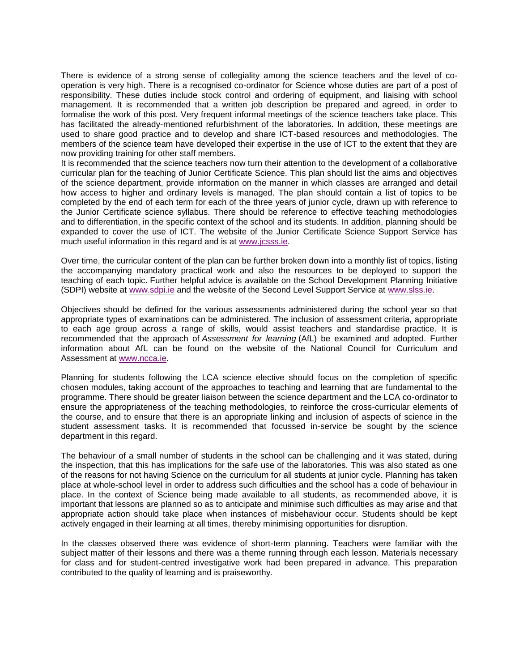There is evidence of a strong sense of collegiality among the science teachers and the level of cooperation is very high. There is a recognised co-ordinator for Science whose duties are part of a post of responsibility. These duties include stock control and ordering of equipment, and liaising with school management. It is recommended that a written job description be prepared and agreed, in order to formalise the work of this post. Very frequent informal meetings of the science teachers take place. This has facilitated the already-mentioned refurbishment of the laboratories. In addition, these meetings are used to share good practice and to develop and share ICT-based resources and methodologies. The members of the science team have developed their expertise in the use of ICT to the extent that they are now providing training for other staff members.

It is recommended that the science teachers now turn their attention to the development of a collaborative curricular plan for the teaching of Junior Certificate Science. This plan should list the aims and objectives of the science department, provide information on the manner in which classes are arranged and detail how access to higher and ordinary levels is managed. The plan should contain a list of topics to be completed by the end of each term for each of the three years of junior cycle, drawn up with reference to the Junior Certificate science syllabus. There should be reference to effective teaching methodologies and to differentiation, in the specific context of the school and its students. In addition, planning should be expanded to cover the use of ICT. The website of the Junior Certificate Science Support Service has much useful information in this regard and is at [www.jcsss.ie.](http://www.jcsss.ie/)

Over time, the curricular content of the plan can be further broken down into a monthly list of topics, listing the accompanying mandatory practical work and also the resources to be deployed to support the teaching of each topic. Further helpful advice is available on the School Development Planning Initiative (SDPI) website at [www.sdpi.ie](http://www.sdpi.ie/) and the website of the Second Level Support Service at [www.slss.ie.](http://www.slss.ie/)

Objectives should be defined for the various assessments administered during the school year so that appropriate types of examinations can be administered. The inclusion of assessment criteria, appropriate to each age group across a range of skills, would assist teachers and standardise practice. It is recommended that the approach of *Assessment for learning* (AfL) be examined and adopted. Further information about AfL can be found on the website of the National Council for Curriculum and Assessment at [www.ncca.ie.](http://www.ncca.ie/)

Planning for students following the LCA science elective should focus on the completion of specific chosen modules, taking account of the approaches to teaching and learning that are fundamental to the programme. There should be greater liaison between the science department and the LCA co-ordinator to ensure the appropriateness of the teaching methodologies, to reinforce the cross-curricular elements of the course, and to ensure that there is an appropriate linking and inclusion of aspects of science in the student assessment tasks. It is recommended that focussed in-service be sought by the science department in this regard.

The behaviour of a small number of students in the school can be challenging and it was stated, during the inspection, that this has implications for the safe use of the laboratories. This was also stated as one of the reasons for not having Science on the curriculum for all students at junior cycle. Planning has taken place at whole-school level in order to address such difficulties and the school has a code of behaviour in place. In the context of Science being made available to all students, as recommended above, it is important that lessons are planned so as to anticipate and minimise such difficulties as may arise and that appropriate action should take place when instances of misbehaviour occur. Students should be kept actively engaged in their learning at all times, thereby minimising opportunities for disruption.

In the classes observed there was evidence of short-term planning. Teachers were familiar with the subject matter of their lessons and there was a theme running through each lesson. Materials necessary for class and for student-centred investigative work had been prepared in advance. This preparation contributed to the quality of learning and is praiseworthy.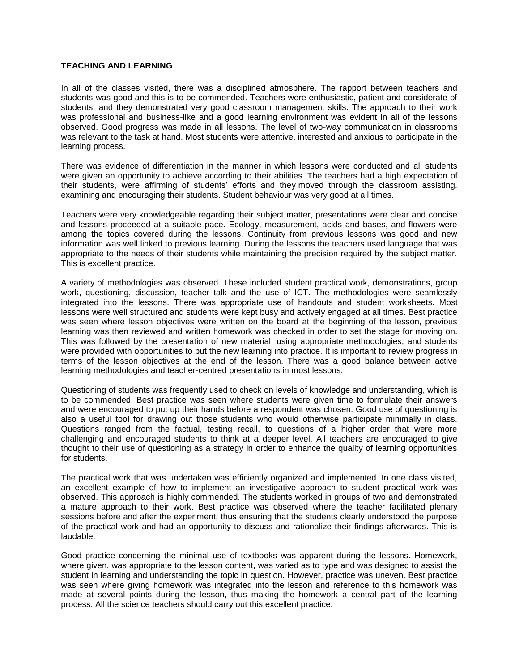#### **TEACHING AND LEARNING**

In all of the classes visited, there was a disciplined atmosphere. The rapport between teachers and students was good and this is to be commended. Teachers were enthusiastic, patient and considerate of students, and they demonstrated very good classroom management skills. The approach to their work was professional and business-like and a good learning environment was evident in all of the lessons observed. Good progress was made in all lessons. The level of two-way communication in classrooms was relevant to the task at hand. Most students were attentive, interested and anxious to participate in the learning process.

There was evidence of differentiation in the manner in which lessons were conducted and all students were given an opportunity to achieve according to their abilities. The teachers had a high expectation of their students, were affirming of students' efforts and they moved through the classroom assisting, examining and encouraging their students. Student behaviour was very good at all times.

Teachers were very knowledgeable regarding their subject matter, presentations were clear and concise and lessons proceeded at a suitable pace. Ecology, measurement, acids and bases, and flowers were among the topics covered during the lessons. Continuity from previous lessons was good and new information was well linked to previous learning. During the lessons the teachers used language that was appropriate to the needs of their students while maintaining the precision required by the subject matter. This is excellent practice.

A variety of methodologies was observed. These included student practical work, demonstrations, group work, questioning, discussion, teacher talk and the use of ICT. The methodologies were seamlessly integrated into the lessons. There was appropriate use of handouts and student worksheets. Most lessons were well structured and students were kept busy and actively engaged at all times. Best practice was seen where lesson objectives were written on the board at the beginning of the lesson, previous learning was then reviewed and written homework was checked in order to set the stage for moving on. This was followed by the presentation of new material, using appropriate methodologies, and students were provided with opportunities to put the new learning into practice. It is important to review progress in terms of the lesson objectives at the end of the lesson. There was a good balance between active learning methodologies and teacher-centred presentations in most lessons.

Questioning of students was frequently used to check on levels of knowledge and understanding, which is to be commended. Best practice was seen where students were given time to formulate their answers and were encouraged to put up their hands before a respondent was chosen. Good use of questioning is also a useful tool for drawing out those students who would otherwise participate minimally in class. Questions ranged from the factual, testing recall, to questions of a higher order that were more challenging and encouraged students to think at a deeper level. All teachers are encouraged to give thought to their use of questioning as a strategy in order to enhance the quality of learning opportunities for students.

The practical work that was undertaken was efficiently organized and implemented. In one class visited, an excellent example of how to implement an investigative approach to student practical work was observed. This approach is highly commended. The students worked in groups of two and demonstrated a mature approach to their work. Best practice was observed where the teacher facilitated plenary sessions before and after the experiment, thus ensuring that the students clearly understood the purpose of the practical work and had an opportunity to discuss and rationalize their findings afterwards. This is laudable.

Good practice concerning the minimal use of textbooks was apparent during the lessons. Homework, where given, was appropriate to the lesson content, was varied as to type and was designed to assist the student in learning and understanding the topic in question. However, practice was uneven. Best practice was seen where giving homework was integrated into the lesson and reference to this homework was made at several points during the lesson, thus making the homework a central part of the learning process. All the science teachers should carry out this excellent practice.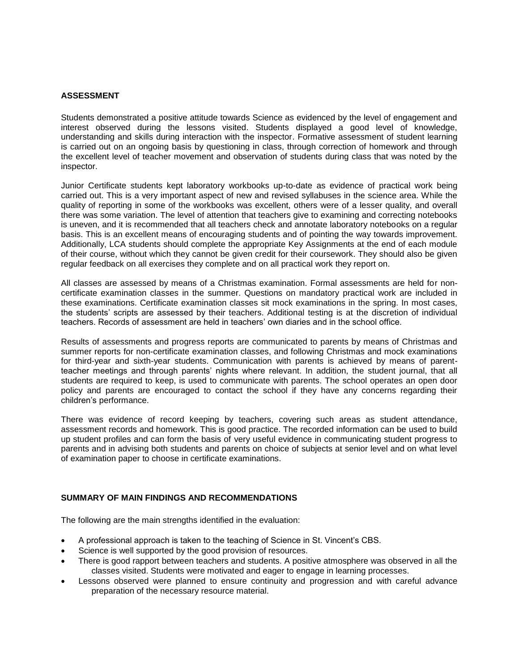#### **ASSESSMENT**

Students demonstrated a positive attitude towards Science as evidenced by the level of engagement and interest observed during the lessons visited. Students displayed a good level of knowledge, understanding and skills during interaction with the inspector. Formative assessment of student learning is carried out on an ongoing basis by questioning in class, through correction of homework and through the excellent level of teacher movement and observation of students during class that was noted by the inspector.

Junior Certificate students kept laboratory workbooks up-to-date as evidence of practical work being carried out. This is a very important aspect of new and revised syllabuses in the science area. While the quality of reporting in some of the workbooks was excellent, others were of a lesser quality, and overall there was some variation. The level of attention that teachers give to examining and correcting notebooks is uneven, and it is recommended that all teachers check and annotate laboratory notebooks on a regular basis. This is an excellent means of encouraging students and of pointing the way towards improvement. Additionally, LCA students should complete the appropriate Key Assignments at the end of each module of their course, without which they cannot be given credit for their coursework. They should also be given regular feedback on all exercises they complete and on all practical work they report on.

All classes are assessed by means of a Christmas examination. Formal assessments are held for noncertificate examination classes in the summer. Questions on mandatory practical work are included in these examinations. Certificate examination classes sit mock examinations in the spring. In most cases, the students' scripts are assessed by their teachers. Additional testing is at the discretion of individual teachers. Records of assessment are held in teachers' own diaries and in the school office.

Results of assessments and progress reports are communicated to parents by means of Christmas and summer reports for non-certificate examination classes, and following Christmas and mock examinations for third-year and sixth-year students. Communication with parents is achieved by means of parentteacher meetings and through parents' nights where relevant. In addition, the student journal, that all students are required to keep, is used to communicate with parents. The school operates an open door policy and parents are encouraged to contact the school if they have any concerns regarding their children's performance.

There was evidence of record keeping by teachers, covering such areas as student attendance, assessment records and homework. This is good practice. The recorded information can be used to build up student profiles and can form the basis of very useful evidence in communicating student progress to parents and in advising both students and parents on choice of subjects at senior level and on what level of examination paper to choose in certificate examinations.

#### **SUMMARY OF MAIN FINDINGS AND RECOMMENDATIONS**

The following are the main strengths identified in the evaluation:

- A professional approach is taken to the teaching of Science in St. Vincent's CBS.
- Science is well supported by the good provision of resources.
- There is good rapport between teachers and students. A positive atmosphere was observed in all the classes visited. Students were motivated and eager to engage in learning processes.
- Lessons observed were planned to ensure continuity and progression and with careful advance preparation of the necessary resource material.